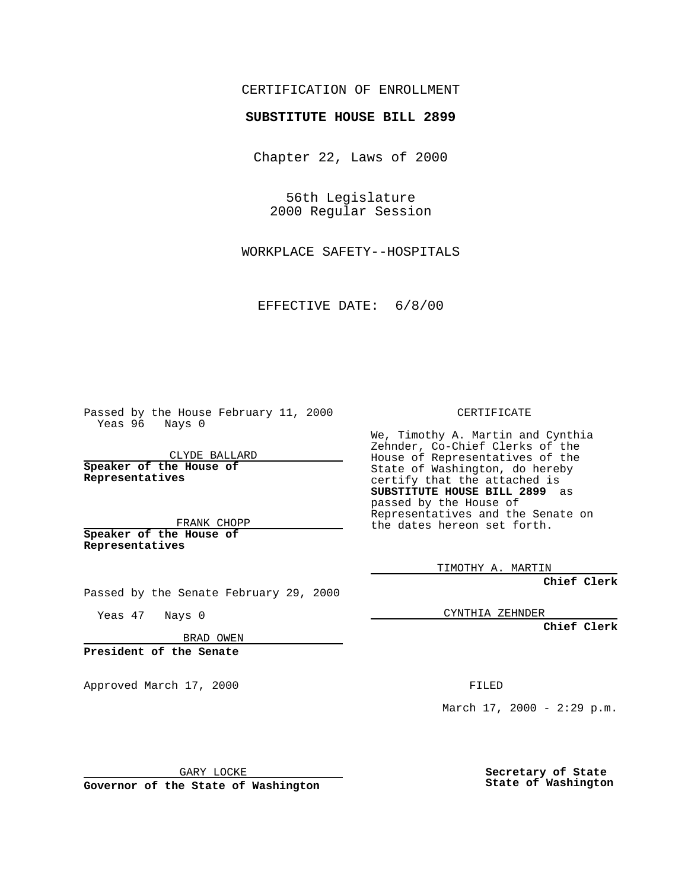## CERTIFICATION OF ENROLLMENT

## **SUBSTITUTE HOUSE BILL 2899**

Chapter 22, Laws of 2000

56th Legislature 2000 Regular Session

WORKPLACE SAFETY--HOSPITALS

EFFECTIVE DATE: 6/8/00

Passed by the House February 11, 2000 Yeas 96 Nays 0

CLYDE BALLARD **Speaker of the House of Representatives**

FRANK CHOPP **Speaker of the House of**

**Representatives**

Yeas 47 Nays 0

CERTIFICATE

We, Timothy A. Martin and Cynthia Zehnder, Co-Chief Clerks of the House of Representatives of the State of Washington, do hereby certify that the attached is **SUBSTITUTE HOUSE BILL 2899** as passed by the House of Representatives and the Senate on the dates hereon set forth.

TIMOTHY A. MARTIN

**Chief Clerk**

CYNTHIA ZEHNDER

**Chief Clerk**

BRAD OWEN

Passed by the Senate February 29, 2000

**President of the Senate**

Approved March 17, 2000 FILED

GARY LOCKE

**Governor of the State of Washington**

March  $17, 2000 - 2:29 p.m.$ 

**Secretary of State State of Washington**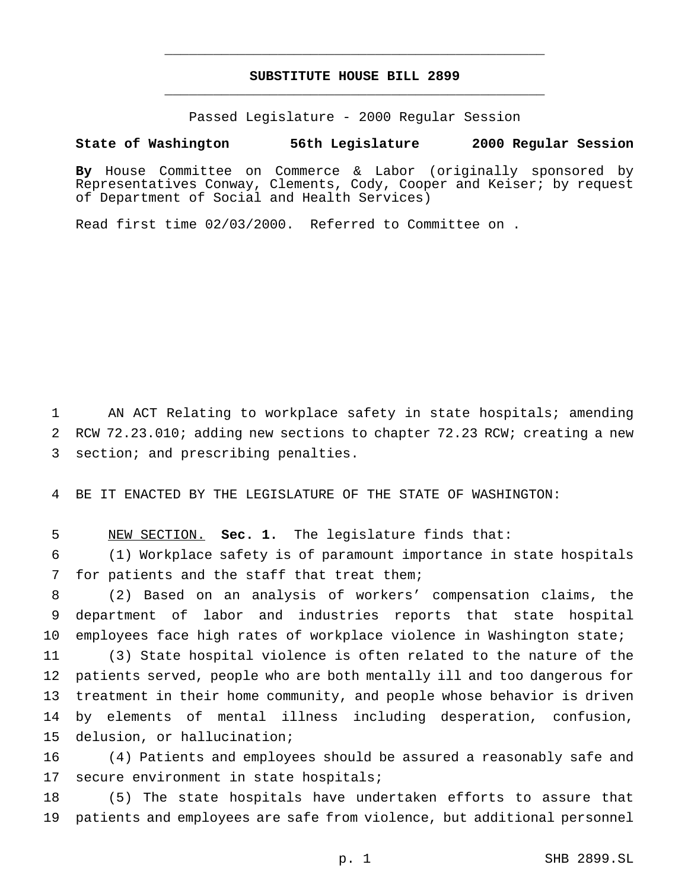## **SUBSTITUTE HOUSE BILL 2899** \_\_\_\_\_\_\_\_\_\_\_\_\_\_\_\_\_\_\_\_\_\_\_\_\_\_\_\_\_\_\_\_\_\_\_\_\_\_\_\_\_\_\_\_\_\_\_

\_\_\_\_\_\_\_\_\_\_\_\_\_\_\_\_\_\_\_\_\_\_\_\_\_\_\_\_\_\_\_\_\_\_\_\_\_\_\_\_\_\_\_\_\_\_\_

Passed Legislature - 2000 Regular Session

**State of Washington 56th Legislature 2000 Regular Session**

**By** House Committee on Commerce & Labor (originally sponsored by Representatives Conway, Clements, Cody, Cooper and Keiser; by request of Department of Social and Health Services)

Read first time 02/03/2000. Referred to Committee on .

 AN ACT Relating to workplace safety in state hospitals; amending RCW 72.23.010; adding new sections to chapter 72.23 RCW; creating a new section; and prescribing penalties.

BE IT ENACTED BY THE LEGISLATURE OF THE STATE OF WASHINGTON:

NEW SECTION. **Sec. 1.** The legislature finds that:

 (1) Workplace safety is of paramount importance in state hospitals for patients and the staff that treat them;

 (2) Based on an analysis of workers' compensation claims, the department of labor and industries reports that state hospital employees face high rates of workplace violence in Washington state;

 (3) State hospital violence is often related to the nature of the patients served, people who are both mentally ill and too dangerous for treatment in their home community, and people whose behavior is driven by elements of mental illness including desperation, confusion, delusion, or hallucination;

 (4) Patients and employees should be assured a reasonably safe and 17 secure environment in state hospitals;

 (5) The state hospitals have undertaken efforts to assure that patients and employees are safe from violence, but additional personnel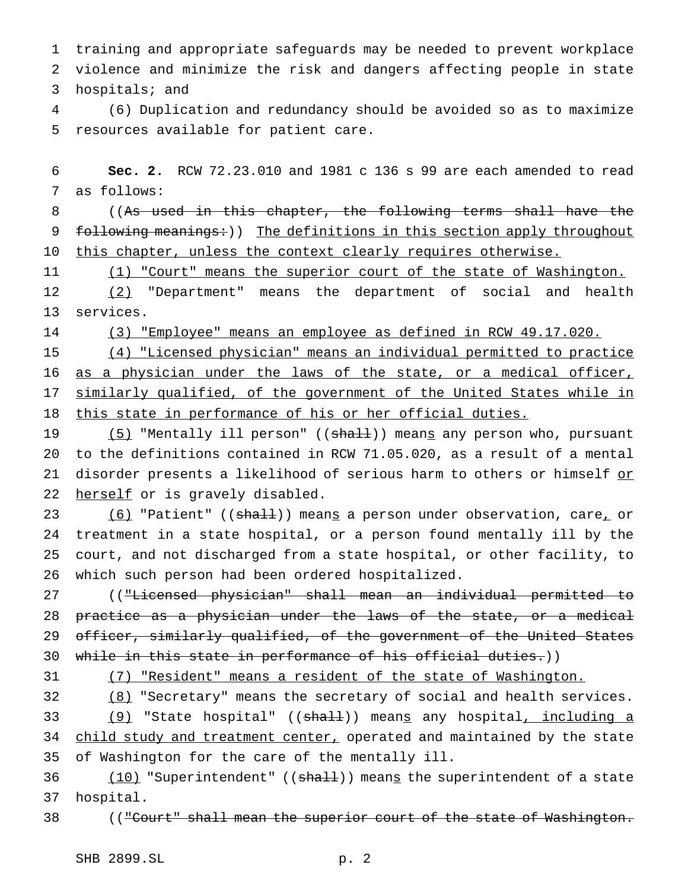training and appropriate safeguards may be needed to prevent workplace violence and minimize the risk and dangers affecting people in state hospitals; and

 (6) Duplication and redundancy should be avoided so as to maximize resources available for patient care.

 **Sec. 2.** RCW 72.23.010 and 1981 c 136 s 99 are each amended to read as follows:

 ((As used in this chapter, the following terms shall have the 9 following meanings:)) The definitions in this section apply throughout 10 this chapter, unless the context clearly requires otherwise.

11 (1) "Court" means the superior court of the state of Washington.

 (2) "Department" means the department of social and health services.

(3) "Employee" means an employee as defined in RCW 49.17.020.

 (4) "Licensed physician" means an individual permitted to practice 16 as a physician under the laws of the state, or a medical officer, 17 similarly qualified, of the government of the United States while in this state in performance of his or her official duties.

19 (5) "Mentally ill person" ((shall)) means any person who, pursuant to the definitions contained in RCW 71.05.020, as a result of a mental 21 disorder presents a likelihood of serious harm to others or himself or 22 herself or is gravely disabled.

23 (6) "Patient" ((shall)) means a person under observation, care, or treatment in a state hospital, or a person found mentally ill by the court, and not discharged from a state hospital, or other facility, to which such person had been ordered hospitalized.

 (("Licensed physician" shall mean an individual permitted to practice as a physician under the laws of the state, or a medical 29 officer, similarly qualified, of the government of the United States while in this state in performance of his official duties.))

(7) "Resident" means a resident of the state of Washington.

 (8) "Secretary" means the secretary of social and health services. 33 (9) "State hospital" ((shall)) means any hospital, including a 34 child study and treatment center, operated and maintained by the state of Washington for the care of the mentally ill.

36 (10) "Superintendent" ((shall)) means the superintendent of a state hospital.

38 (("Court" shall mean the superior court of the state of Washington.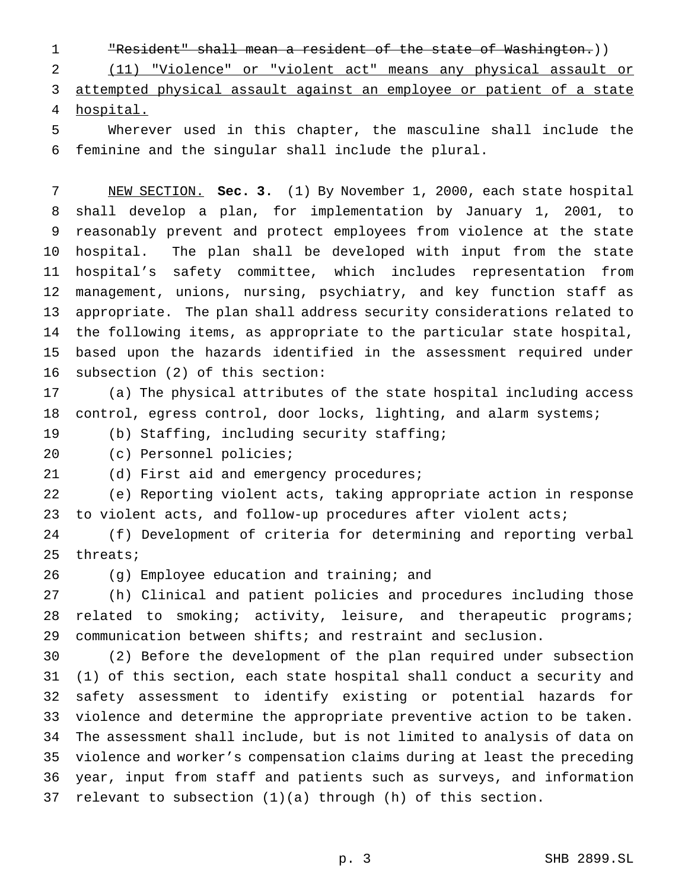"Resident" shall mean a resident of the state of Washington.))

 (11) "Violence" or "violent act" means any physical assault or attempted physical assault against an employee or patient of a state hospital.

 Wherever used in this chapter, the masculine shall include the feminine and the singular shall include the plural.

 NEW SECTION. **Sec. 3.** (1) By November 1, 2000, each state hospital shall develop a plan, for implementation by January 1, 2001, to reasonably prevent and protect employees from violence at the state hospital. The plan shall be developed with input from the state hospital's safety committee, which includes representation from management, unions, nursing, psychiatry, and key function staff as appropriate. The plan shall address security considerations related to the following items, as appropriate to the particular state hospital, based upon the hazards identified in the assessment required under subsection (2) of this section:

 (a) The physical attributes of the state hospital including access 18 control, egress control, door locks, lighting, and alarm systems;

(b) Staffing, including security staffing;

(c) Personnel policies;

21 (d) First aid and emergency procedures;

 (e) Reporting violent acts, taking appropriate action in response to violent acts, and follow-up procedures after violent acts;

 (f) Development of criteria for determining and reporting verbal threats;

(g) Employee education and training; and

 (h) Clinical and patient policies and procedures including those 28 related to smoking; activity, leisure, and therapeutic programs; communication between shifts; and restraint and seclusion.

 (2) Before the development of the plan required under subsection (1) of this section, each state hospital shall conduct a security and safety assessment to identify existing or potential hazards for violence and determine the appropriate preventive action to be taken. The assessment shall include, but is not limited to analysis of data on violence and worker's compensation claims during at least the preceding year, input from staff and patients such as surveys, and information relevant to subsection (1)(a) through (h) of this section.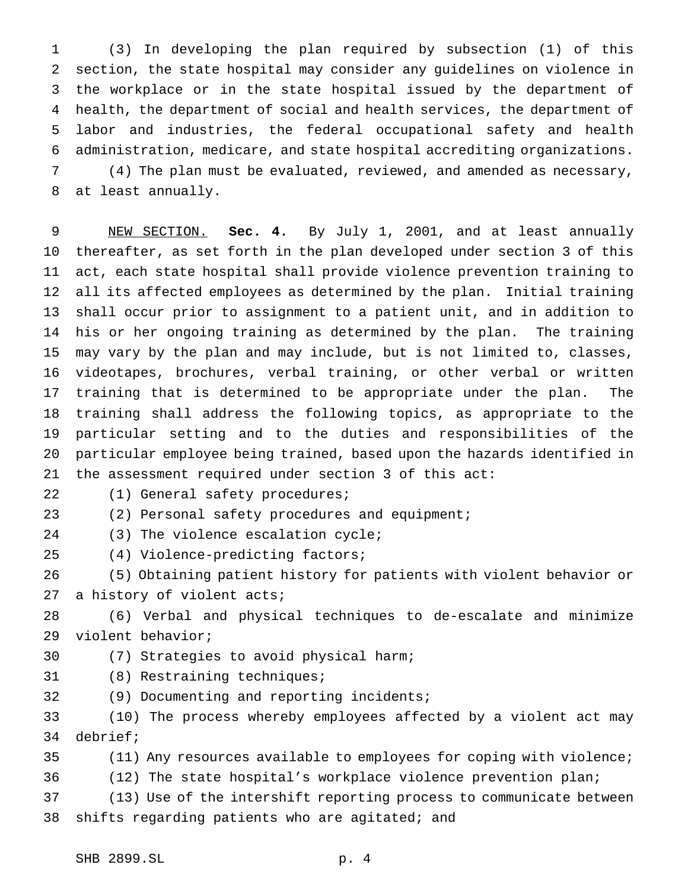(3) In developing the plan required by subsection (1) of this section, the state hospital may consider any guidelines on violence in the workplace or in the state hospital issued by the department of health, the department of social and health services, the department of labor and industries, the federal occupational safety and health administration, medicare, and state hospital accrediting organizations. (4) The plan must be evaluated, reviewed, and amended as necessary, at least annually.

 NEW SECTION. **Sec. 4.** By July 1, 2001, and at least annually thereafter, as set forth in the plan developed under section 3 of this act, each state hospital shall provide violence prevention training to all its affected employees as determined by the plan. Initial training shall occur prior to assignment to a patient unit, and in addition to his or her ongoing training as determined by the plan. The training may vary by the plan and may include, but is not limited to, classes, videotapes, brochures, verbal training, or other verbal or written training that is determined to be appropriate under the plan. The training shall address the following topics, as appropriate to the particular setting and to the duties and responsibilities of the particular employee being trained, based upon the hazards identified in the assessment required under section 3 of this act:

(1) General safety procedures;

(2) Personal safety procedures and equipment;

24 (3) The violence escalation cycle;

(4) Violence-predicting factors;

 (5) Obtaining patient history for patients with violent behavior or 27 a history of violent acts;

 (6) Verbal and physical techniques to de-escalate and minimize violent behavior;

- (7) Strategies to avoid physical harm;
- (8) Restraining techniques;
- (9) Documenting and reporting incidents;

 (10) The process whereby employees affected by a violent act may debrief;

- (11) Any resources available to employees for coping with violence;
- (12) The state hospital's workplace violence prevention plan;

 (13) Use of the intershift reporting process to communicate between shifts regarding patients who are agitated; and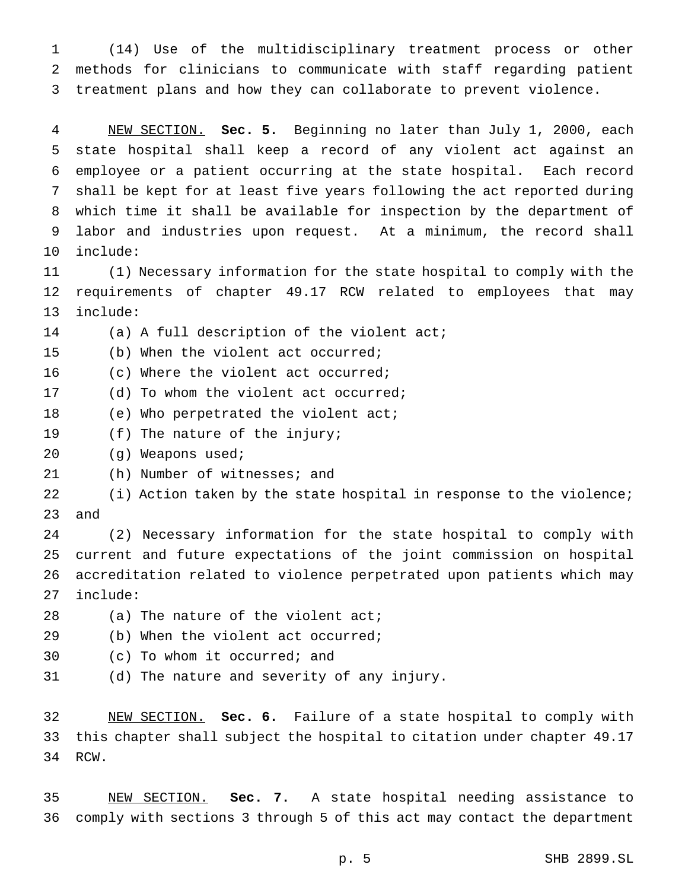(14) Use of the multidisciplinary treatment process or other methods for clinicians to communicate with staff regarding patient treatment plans and how they can collaborate to prevent violence.

 NEW SECTION. **Sec. 5.** Beginning no later than July 1, 2000, each state hospital shall keep a record of any violent act against an employee or a patient occurring at the state hospital. Each record shall be kept for at least five years following the act reported during which time it shall be available for inspection by the department of labor and industries upon request. At a minimum, the record shall include:

 (1) Necessary information for the state hospital to comply with the requirements of chapter 49.17 RCW related to employees that may include:

(a) A full description of the violent act;

(b) When the violent act occurred;

(c) Where the violent act occurred;

(d) To whom the violent act occurred;

18 (e) Who perpetrated the violent act;

(f) The nature of the injury;

(g) Weapons used;

(h) Number of witnesses; and

 (i) Action taken by the state hospital in response to the violence; and

 (2) Necessary information for the state hospital to comply with current and future expectations of the joint commission on hospital accreditation related to violence perpetrated upon patients which may include:

28 (a) The nature of the violent act;

(b) When the violent act occurred;

- (c) To whom it occurred; and
- (d) The nature and severity of any injury.

 NEW SECTION. **Sec. 6.** Failure of a state hospital to comply with this chapter shall subject the hospital to citation under chapter 49.17 RCW.

 NEW SECTION. **Sec. 7.** A state hospital needing assistance to comply with sections 3 through 5 of this act may contact the department

p. 5 SHB 2899.SL